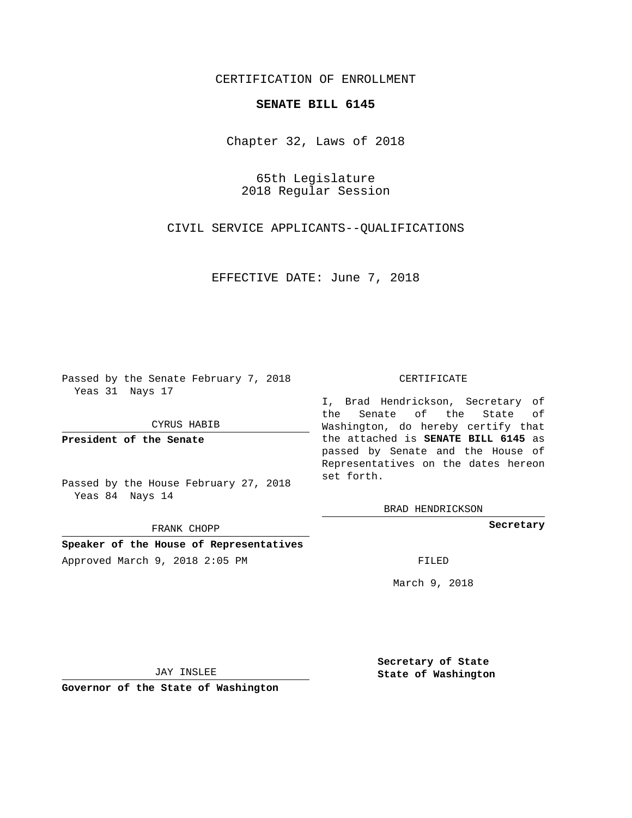## CERTIFICATION OF ENROLLMENT

## **SENATE BILL 6145**

Chapter 32, Laws of 2018

65th Legislature 2018 Regular Session

CIVIL SERVICE APPLICANTS--QUALIFICATIONS

EFFECTIVE DATE: June 7, 2018

Passed by the Senate February 7, 2018 Yeas 31 Nays 17

CYRUS HABIB

**President of the Senate**

Passed by the House February 27, 2018 Yeas 84 Nays 14

FRANK CHOPP

**Speaker of the House of Representatives** Approved March 9, 2018 2:05 PM FILED

## CERTIFICATE

I, Brad Hendrickson, Secretary of the Senate of the State of Washington, do hereby certify that the attached is **SENATE BILL 6145** as passed by Senate and the House of Representatives on the dates hereon set forth.

BRAD HENDRICKSON

**Secretary**

March 9, 2018

JAY INSLEE

**Governor of the State of Washington**

**Secretary of State State of Washington**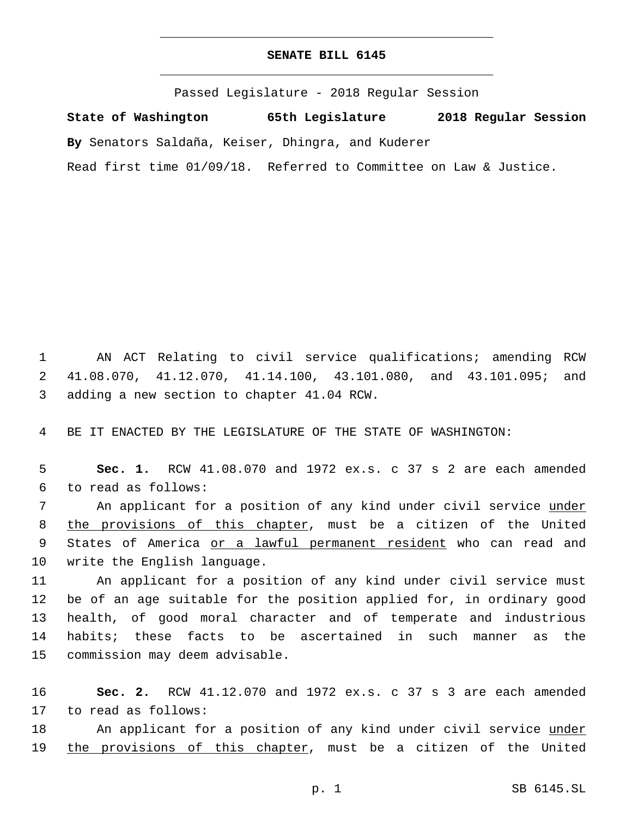## **SENATE BILL 6145**

Passed Legislature - 2018 Regular Session

**State of Washington 65th Legislature 2018 Regular Session By** Senators Saldaña, Keiser, Dhingra, and Kuderer

Read first time 01/09/18. Referred to Committee on Law & Justice.

1 AN ACT Relating to civil service qualifications; amending RCW 2 41.08.070, 41.12.070, 41.14.100, 43.101.080, and 43.101.095; and 3 adding a new section to chapter 41.04 RCW.

4 BE IT ENACTED BY THE LEGISLATURE OF THE STATE OF WASHINGTON:

5 **Sec. 1.** RCW 41.08.070 and 1972 ex.s. c 37 s 2 are each amended to read as follows:6

7 An applicant for a position of any kind under civil service under 8 the provisions of this chapter, must be a citizen of the United 9 States of America or a lawful permanent resident who can read and 10 write the English language.

 An applicant for a position of any kind under civil service must be of an age suitable for the position applied for, in ordinary good health, of good moral character and of temperate and industrious habits; these facts to be ascertained in such manner as the 15 commission may deem advisable.

16 **Sec. 2.** RCW 41.12.070 and 1972 ex.s. c 37 s 3 are each amended 17 to read as follows:

18 An applicant for a position of any kind under civil service <u>under</u> 19 the provisions of this chapter, must be a citizen of the United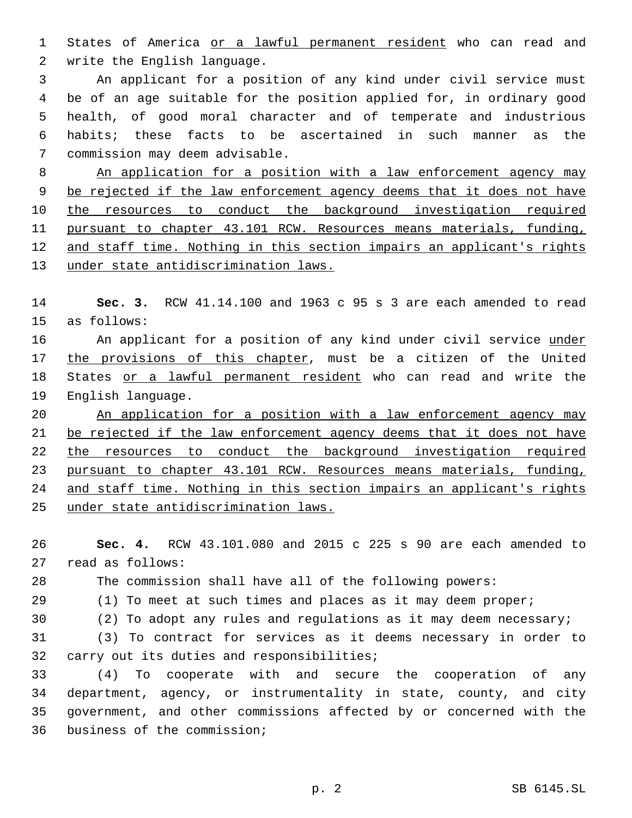States of America or a lawful permanent resident who can read and 2 write the English language.

 An applicant for a position of any kind under civil service must be of an age suitable for the position applied for, in ordinary good health, of good moral character and of temperate and industrious habits; these facts to be ascertained in such manner as the 7 commission may deem advisable.

 An application for a position with a law enforcement agency may be rejected if the law enforcement agency deems that it does not have the resources to conduct the background investigation required pursuant to chapter 43.101 RCW. Resources means materials, funding, and staff time. Nothing in this section impairs an applicant's rights under state antidiscrimination laws.

 **Sec. 3.** RCW 41.14.100 and 1963 c 95 s 3 are each amended to read 15 as follows:

16 An applicant for a position of any kind under civil service under the provisions of this chapter, must be a citizen of the United 18 States or a lawful permanent resident who can read and write the 19 English language.

 An application for a position with a law enforcement agency may be rejected if the law enforcement agency deems that it does not have 22 the resources to conduct the background investigation required pursuant to chapter 43.101 RCW. Resources means materials, funding, 24 and staff time. Nothing in this section impairs an applicant's rights under state antidiscrimination laws.

 **Sec. 4.** RCW 43.101.080 and 2015 c 225 s 90 are each amended to 27 read as follows:

The commission shall have all of the following powers:

29 (1) To meet at such times and places as it may deem proper;

(2) To adopt any rules and regulations as it may deem necessary;

 (3) To contract for services as it deems necessary in order to 32 carry out its duties and responsibilities;

 (4) To cooperate with and secure the cooperation of any department, agency, or instrumentality in state, county, and city government, and other commissions affected by or concerned with the 36 business of the commission;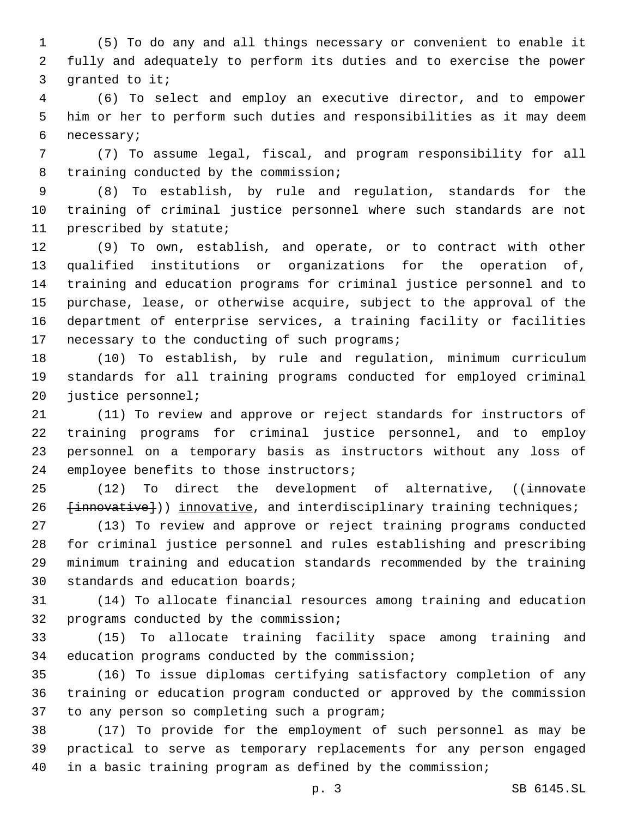(5) To do any and all things necessary or convenient to enable it fully and adequately to perform its duties and to exercise the power 3 granted to it;

 (6) To select and employ an executive director, and to empower him or her to perform such duties and responsibilities as it may deem 6 necessary;

 (7) To assume legal, fiscal, and program responsibility for all 8 training conducted by the commission;

 (8) To establish, by rule and regulation, standards for the training of criminal justice personnel where such standards are not 11 prescribed by statute;

 (9) To own, establish, and operate, or to contract with other qualified institutions or organizations for the operation of, training and education programs for criminal justice personnel and to purchase, lease, or otherwise acquire, subject to the approval of the department of enterprise services, a training facility or facilities 17 necessary to the conducting of such programs;

 (10) To establish, by rule and regulation, minimum curriculum standards for all training programs conducted for employed criminal 20 justice personnel;

 (11) To review and approve or reject standards for instructors of training programs for criminal justice personnel, and to employ personnel on a temporary basis as instructors without any loss of 24 employee benefits to those instructors;

25 (12) To direct the development of alternative, ((innovate 26 [innovative])) innovative, and interdisciplinary training techniques;

 (13) To review and approve or reject training programs conducted for criminal justice personnel and rules establishing and prescribing minimum training and education standards recommended by the training 30 standards and education boards;

 (14) To allocate financial resources among training and education 32 programs conducted by the commission;

 (15) To allocate training facility space among training and 34 education programs conducted by the commission;

 (16) To issue diplomas certifying satisfactory completion of any training or education program conducted or approved by the commission 37 to any person so completing such a program;

 (17) To provide for the employment of such personnel as may be practical to serve as temporary replacements for any person engaged in a basic training program as defined by the commission;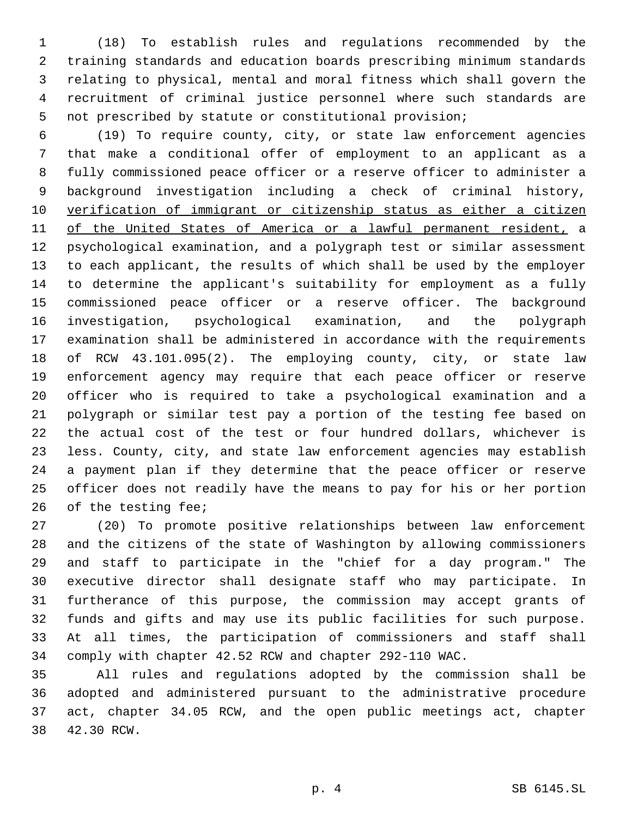(18) To establish rules and regulations recommended by the training standards and education boards prescribing minimum standards relating to physical, mental and moral fitness which shall govern the recruitment of criminal justice personnel where such standards are not prescribed by statute or constitutional provision;

 (19) To require county, city, or state law enforcement agencies that make a conditional offer of employment to an applicant as a fully commissioned peace officer or a reserve officer to administer a background investigation including a check of criminal history, verification of immigrant or citizenship status as either a citizen of the United States of America or a lawful permanent resident, a psychological examination, and a polygraph test or similar assessment to each applicant, the results of which shall be used by the employer to determine the applicant's suitability for employment as a fully commissioned peace officer or a reserve officer. The background investigation, psychological examination, and the polygraph examination shall be administered in accordance with the requirements of RCW 43.101.095(2). The employing county, city, or state law enforcement agency may require that each peace officer or reserve officer who is required to take a psychological examination and a polygraph or similar test pay a portion of the testing fee based on the actual cost of the test or four hundred dollars, whichever is less. County, city, and state law enforcement agencies may establish a payment plan if they determine that the peace officer or reserve officer does not readily have the means to pay for his or her portion 26 of the testing fee;

 (20) To promote positive relationships between law enforcement and the citizens of the state of Washington by allowing commissioners and staff to participate in the "chief for a day program." The executive director shall designate staff who may participate. In furtherance of this purpose, the commission may accept grants of funds and gifts and may use its public facilities for such purpose. At all times, the participation of commissioners and staff shall comply with chapter 42.52 RCW and chapter 292-110 WAC.

 All rules and regulations adopted by the commission shall be adopted and administered pursuant to the administrative procedure act, chapter 34.05 RCW, and the open public meetings act, chapter 38 42.30 RCW.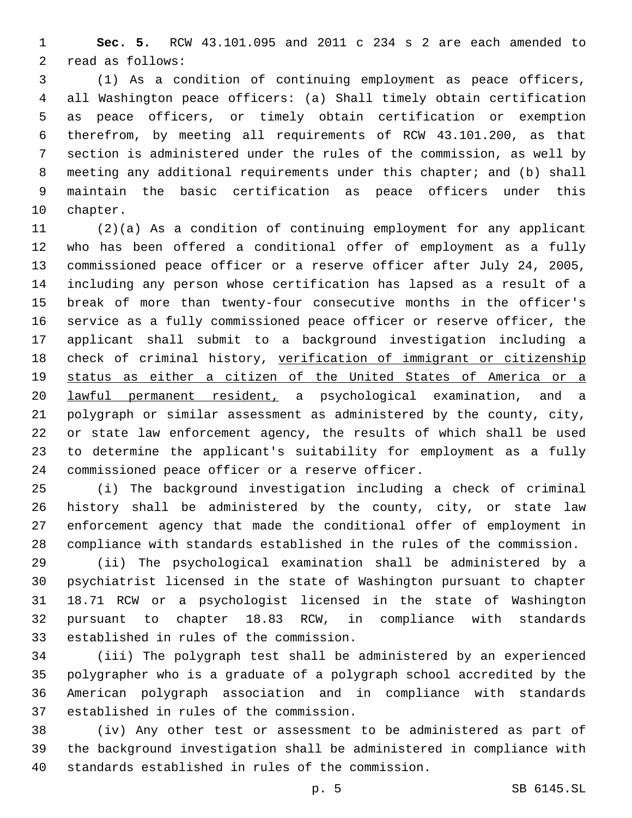**Sec. 5.** RCW 43.101.095 and 2011 c 234 s 2 are each amended to 2 read as follows:

 (1) As a condition of continuing employment as peace officers, all Washington peace officers: (a) Shall timely obtain certification as peace officers, or timely obtain certification or exemption therefrom, by meeting all requirements of RCW 43.101.200, as that section is administered under the rules of the commission, as well by meeting any additional requirements under this chapter; and (b) shall maintain the basic certification as peace officers under this 10 chapter.

 (2)(a) As a condition of continuing employment for any applicant who has been offered a conditional offer of employment as a fully commissioned peace officer or a reserve officer after July 24, 2005, including any person whose certification has lapsed as a result of a break of more than twenty-four consecutive months in the officer's service as a fully commissioned peace officer or reserve officer, the applicant shall submit to a background investigation including a check of criminal history, verification of immigrant or citizenship status as either a citizen of the United States of America or a lawful permanent resident, a psychological examination, and a polygraph or similar assessment as administered by the county, city, or state law enforcement agency, the results of which shall be used to determine the applicant's suitability for employment as a fully 24 commissioned peace officer or a reserve officer.

 (i) The background investigation including a check of criminal history shall be administered by the county, city, or state law enforcement agency that made the conditional offer of employment in compliance with standards established in the rules of the commission.

 (ii) The psychological examination shall be administered by a psychiatrist licensed in the state of Washington pursuant to chapter 18.71 RCW or a psychologist licensed in the state of Washington pursuant to chapter 18.83 RCW, in compliance with standards 33 established in rules of the commission.

 (iii) The polygraph test shall be administered by an experienced polygrapher who is a graduate of a polygraph school accredited by the American polygraph association and in compliance with standards 37 established in rules of the commission.

 (iv) Any other test or assessment to be administered as part of the background investigation shall be administered in compliance with 40 standards established in rules of the commission.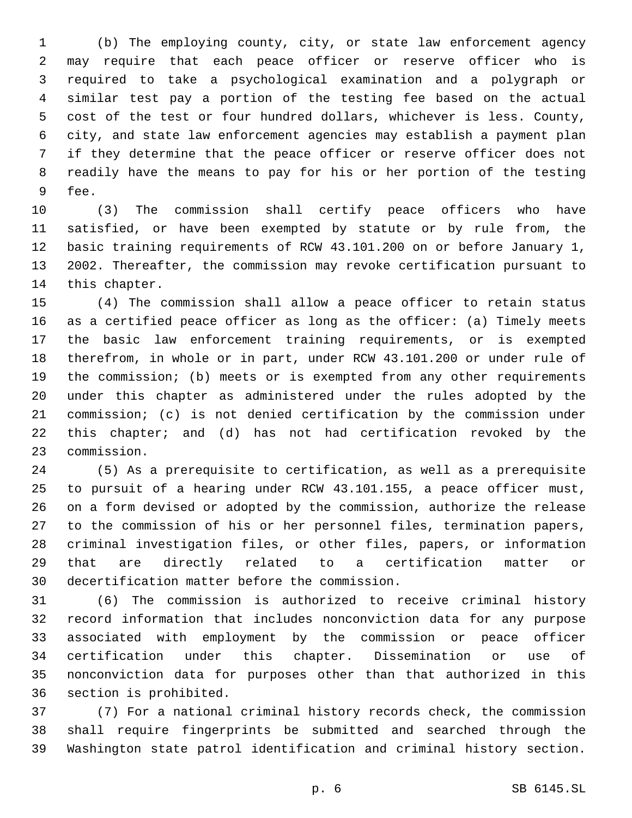(b) The employing county, city, or state law enforcement agency may require that each peace officer or reserve officer who is required to take a psychological examination and a polygraph or similar test pay a portion of the testing fee based on the actual cost of the test or four hundred dollars, whichever is less. County, city, and state law enforcement agencies may establish a payment plan if they determine that the peace officer or reserve officer does not readily have the means to pay for his or her portion of the testing 9 fee.

 (3) The commission shall certify peace officers who have satisfied, or have been exempted by statute or by rule from, the basic training requirements of RCW 43.101.200 on or before January 1, 2002. Thereafter, the commission may revoke certification pursuant to 14 this chapter.

 (4) The commission shall allow a peace officer to retain status as a certified peace officer as long as the officer: (a) Timely meets the basic law enforcement training requirements, or is exempted therefrom, in whole or in part, under RCW 43.101.200 or under rule of the commission; (b) meets or is exempted from any other requirements under this chapter as administered under the rules adopted by the commission; (c) is not denied certification by the commission under this chapter; and (d) has not had certification revoked by the 23 commission.

 (5) As a prerequisite to certification, as well as a prerequisite to pursuit of a hearing under RCW 43.101.155, a peace officer must, on a form devised or adopted by the commission, authorize the release to the commission of his or her personnel files, termination papers, criminal investigation files, or other files, papers, or information that are directly related to a certification matter or 30 decertification matter before the commission.

 (6) The commission is authorized to receive criminal history record information that includes nonconviction data for any purpose associated with employment by the commission or peace officer certification under this chapter. Dissemination or use of nonconviction data for purposes other than that authorized in this 36 section is prohibited.

 (7) For a national criminal history records check, the commission shall require fingerprints be submitted and searched through the Washington state patrol identification and criminal history section.